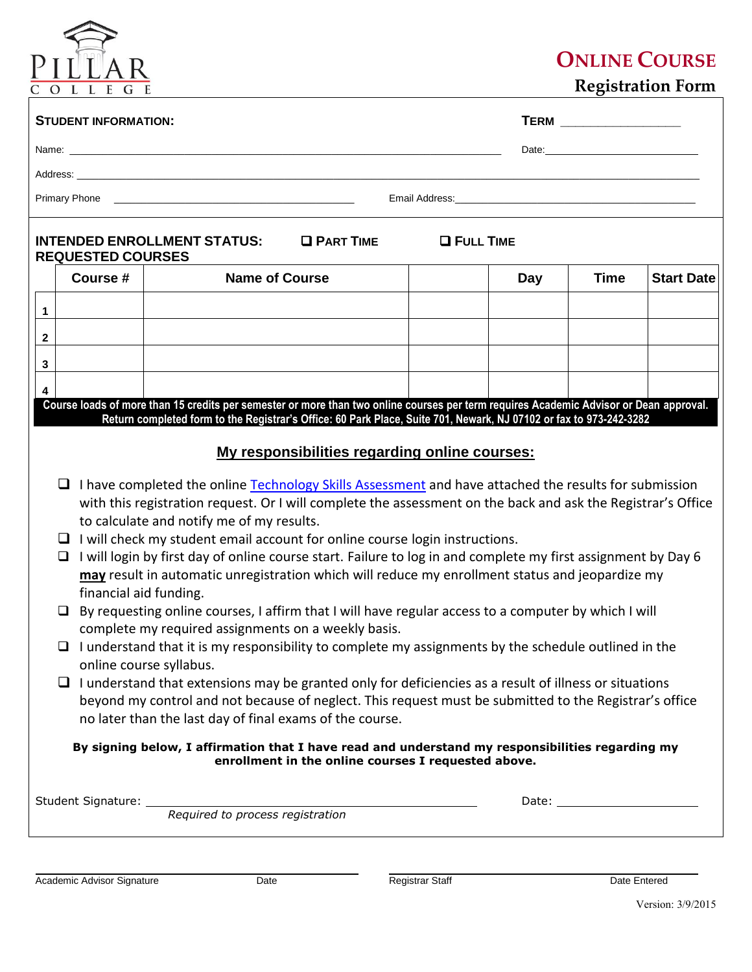## $PIL$ L E G

## **ONLINE COURSE**

 **Registration Form**

|                                                                                                                                                                                                                                                                                                                                                                                                                                                                                                                                                                                                                                                                                                                                                                                                                                                                                                                                                                                                                                                                                                                                                                                                                                                                                                                                                                                                                                                                                                                                                          | <b>STUDENT INFORMATION:</b>                                                                                      |                                                                                                                                        |  |     |             |                   |  |  |  |  |
|----------------------------------------------------------------------------------------------------------------------------------------------------------------------------------------------------------------------------------------------------------------------------------------------------------------------------------------------------------------------------------------------------------------------------------------------------------------------------------------------------------------------------------------------------------------------------------------------------------------------------------------------------------------------------------------------------------------------------------------------------------------------------------------------------------------------------------------------------------------------------------------------------------------------------------------------------------------------------------------------------------------------------------------------------------------------------------------------------------------------------------------------------------------------------------------------------------------------------------------------------------------------------------------------------------------------------------------------------------------------------------------------------------------------------------------------------------------------------------------------------------------------------------------------------------|------------------------------------------------------------------------------------------------------------------|----------------------------------------------------------------------------------------------------------------------------------------|--|-----|-------------|-------------------|--|--|--|--|
|                                                                                                                                                                                                                                                                                                                                                                                                                                                                                                                                                                                                                                                                                                                                                                                                                                                                                                                                                                                                                                                                                                                                                                                                                                                                                                                                                                                                                                                                                                                                                          |                                                                                                                  |                                                                                                                                        |  |     |             |                   |  |  |  |  |
|                                                                                                                                                                                                                                                                                                                                                                                                                                                                                                                                                                                                                                                                                                                                                                                                                                                                                                                                                                                                                                                                                                                                                                                                                                                                                                                                                                                                                                                                                                                                                          |                                                                                                                  |                                                                                                                                        |  |     |             |                   |  |  |  |  |
|                                                                                                                                                                                                                                                                                                                                                                                                                                                                                                                                                                                                                                                                                                                                                                                                                                                                                                                                                                                                                                                                                                                                                                                                                                                                                                                                                                                                                                                                                                                                                          | Email Address: North American State Communication of the Communication of the Communication of the Communication |                                                                                                                                        |  |     |             |                   |  |  |  |  |
| <b>INTENDED ENROLLMENT STATUS:</b><br><b>O FULL TIME</b><br><b>O PART TIME</b><br><b>REQUESTED COURSES</b>                                                                                                                                                                                                                                                                                                                                                                                                                                                                                                                                                                                                                                                                                                                                                                                                                                                                                                                                                                                                                                                                                                                                                                                                                                                                                                                                                                                                                                               |                                                                                                                  |                                                                                                                                        |  |     |             |                   |  |  |  |  |
|                                                                                                                                                                                                                                                                                                                                                                                                                                                                                                                                                                                                                                                                                                                                                                                                                                                                                                                                                                                                                                                                                                                                                                                                                                                                                                                                                                                                                                                                                                                                                          | Course #                                                                                                         | <b>Name of Course</b>                                                                                                                  |  | Day | <b>Time</b> | <b>Start Date</b> |  |  |  |  |
| 1                                                                                                                                                                                                                                                                                                                                                                                                                                                                                                                                                                                                                                                                                                                                                                                                                                                                                                                                                                                                                                                                                                                                                                                                                                                                                                                                                                                                                                                                                                                                                        |                                                                                                                  |                                                                                                                                        |  |     |             |                   |  |  |  |  |
| $\mathbf{2}$                                                                                                                                                                                                                                                                                                                                                                                                                                                                                                                                                                                                                                                                                                                                                                                                                                                                                                                                                                                                                                                                                                                                                                                                                                                                                                                                                                                                                                                                                                                                             |                                                                                                                  |                                                                                                                                        |  |     |             |                   |  |  |  |  |
| 3                                                                                                                                                                                                                                                                                                                                                                                                                                                                                                                                                                                                                                                                                                                                                                                                                                                                                                                                                                                                                                                                                                                                                                                                                                                                                                                                                                                                                                                                                                                                                        |                                                                                                                  |                                                                                                                                        |  |     |             |                   |  |  |  |  |
| 4                                                                                                                                                                                                                                                                                                                                                                                                                                                                                                                                                                                                                                                                                                                                                                                                                                                                                                                                                                                                                                                                                                                                                                                                                                                                                                                                                                                                                                                                                                                                                        |                                                                                                                  |                                                                                                                                        |  |     |             |                   |  |  |  |  |
|                                                                                                                                                                                                                                                                                                                                                                                                                                                                                                                                                                                                                                                                                                                                                                                                                                                                                                                                                                                                                                                                                                                                                                                                                                                                                                                                                                                                                                                                                                                                                          |                                                                                                                  | Course loads of more than 15 credits per semester or more than two online courses per term requires Academic Advisor or Dean approval. |  |     |             |                   |  |  |  |  |
| Return completed form to the Registrar's Office: 60 Park Place, Suite 701, Newark, NJ 07102 or fax to 973-242-3282<br>My responsibilities regarding online courses:<br>I have completed the online Technology Skills Assessment and have attached the results for submission<br>Q.<br>with this registration request. Or I will complete the assessment on the back and ask the Registrar's Office<br>to calculate and notify me of my results.<br>$\Box$ I will check my student email account for online course login instructions.<br>I will login by first day of online course start. Failure to log in and complete my first assignment by Day 6<br>□<br>may result in automatic unregistration which will reduce my enrollment status and jeopardize my<br>financial aid funding.<br>By requesting online courses, I affirm that I will have regular access to a computer by which I will<br>□<br>complete my required assignments on a weekly basis.<br>$\Box$ I understand that it is my responsibility to complete my assignments by the schedule outlined in the<br>online course syllabus.<br>$\Box$ I understand that extensions may be granted only for deficiencies as a result of illness or situations<br>beyond my control and not because of neglect. This request must be submitted to the Registrar's office<br>no later than the last day of final exams of the course.<br>By signing below, I affirmation that I have read and understand my responsibilities regarding my<br>enrollment in the online courses I requested above. |                                                                                                                  |                                                                                                                                        |  |     |             |                   |  |  |  |  |
|                                                                                                                                                                                                                                                                                                                                                                                                                                                                                                                                                                                                                                                                                                                                                                                                                                                                                                                                                                                                                                                                                                                                                                                                                                                                                                                                                                                                                                                                                                                                                          |                                                                                                                  | Student Signature: <u>Required to process registration</u>                                                                             |  |     |             |                   |  |  |  |  |
|                                                                                                                                                                                                                                                                                                                                                                                                                                                                                                                                                                                                                                                                                                                                                                                                                                                                                                                                                                                                                                                                                                                                                                                                                                                                                                                                                                                                                                                                                                                                                          |                                                                                                                  |                                                                                                                                        |  |     |             |                   |  |  |  |  |

 $\overline{a}$